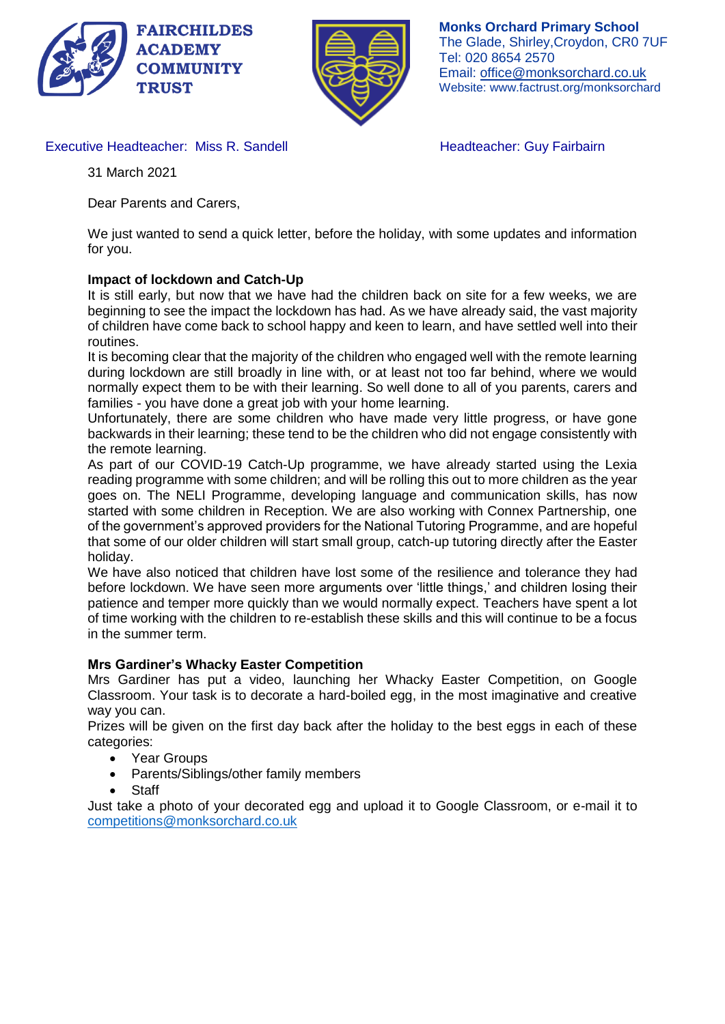



**Monks Orchard Primary School** The Glade, Shirley,Croydon, CR0 7UF Tel: 020 8654 2570 Email: office@monksorchard.co.uk Website: www.factrust.org/monksorchard

Executive Headteacher: Miss R. Sandell **Headteacher: Guy Fairbairn** 

31 March 2021

Dear Parents and Carers,

We just wanted to send a quick letter, before the holiday, with some updates and information for you.

# **Impact of lockdown and Catch-Up**

It is still early, but now that we have had the children back on site for a few weeks, we are beginning to see the impact the lockdown has had. As we have already said, the vast majority of children have come back to school happy and keen to learn, and have settled well into their routines.

It is becoming clear that the majority of the children who engaged well with the remote learning during lockdown are still broadly in line with, or at least not too far behind, where we would normally expect them to be with their learning. So well done to all of you parents, carers and families - you have done a great job with your home learning.

Unfortunately, there are some children who have made very little progress, or have gone backwards in their learning; these tend to be the children who did not engage consistently with the remote learning.

As part of our COVID-19 Catch-Up programme, we have already started using the Lexia reading programme with some children; and will be rolling this out to more children as the year goes on. The NELI Programme, developing language and communication skills, has now started with some children in Reception. We are also working with Connex Partnership, one of the government's approved providers for the National Tutoring Programme, and are hopeful that some of our older children will start small group, catch-up tutoring directly after the Easter holiday.

We have also noticed that children have lost some of the resilience and tolerance they had before lockdown. We have seen more arguments over 'little things,' and children losing their patience and temper more quickly than we would normally expect. Teachers have spent a lot of time working with the children to re-establish these skills and this will continue to be a focus in the summer term.

## **Mrs Gardiner's Whacky Easter Competition**

Mrs Gardiner has put a video, launching her Whacky Easter Competition, on Google Classroom. Your task is to decorate a hard-boiled egg, in the most imaginative and creative way you can.

Prizes will be given on the first day back after the holiday to the best eggs in each of these categories:

- Year Groups
- Parents/Siblings/other family members
- **Staff**

Just take a photo of your decorated egg and upload it to Google Classroom, or e-mail it to [competitions@monksorchard.co.uk](mailto:competitions@monksorchard.co.uk)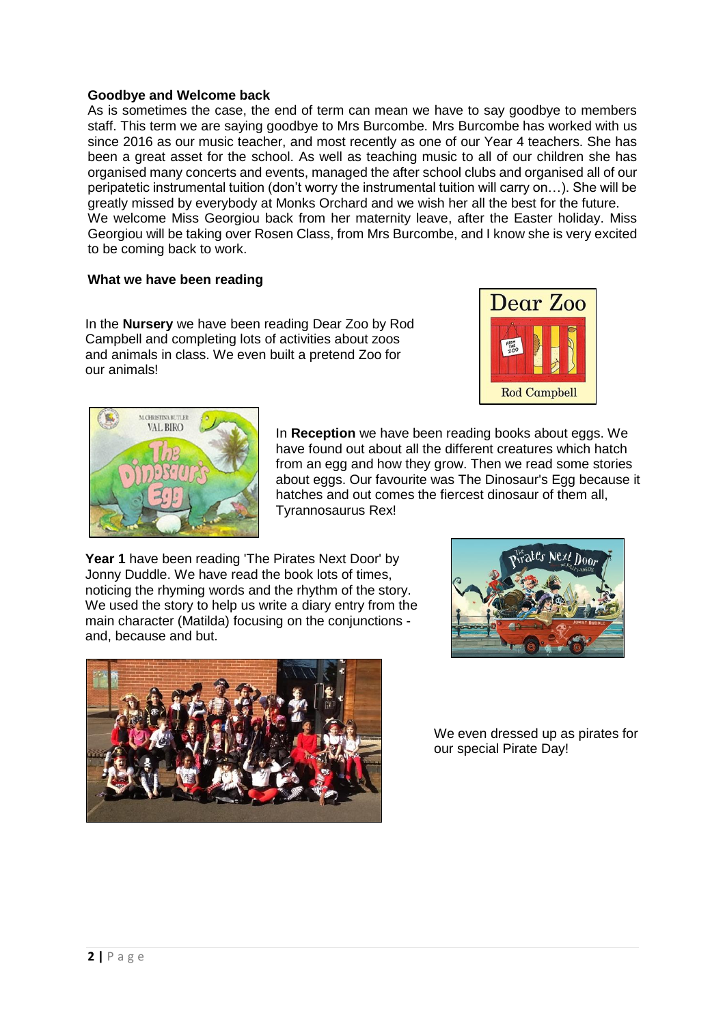## **Goodbye and Welcome back**

As is sometimes the case, the end of term can mean we have to say goodbye to members staff. This term we are saying goodbye to Mrs Burcombe. Mrs Burcombe has worked with us since 2016 as our music teacher, and most recently as one of our Year 4 teachers. She has been a great asset for the school. As well as teaching music to all of our children she has organised many concerts and events, managed the after school clubs and organised all of our peripatetic instrumental tuition (don't worry the instrumental tuition will carry on…). She will be greatly missed by everybody at Monks Orchard and we wish her all the best for the future. We welcome Miss Georgiou back from her maternity leave, after the Easter holiday. Miss Georgiou will be taking over Rosen Class, from Mrs Burcombe, and I know she is very excited to be coming back to work.

#### **What we have been reading**

In the **Nursery** we have been reading Dear Zoo by Rod Campbell and completing lots of activities about zoos and animals in class. We even built a pretend Zoo for our animals!





In **Reception** we have been reading books about eggs. We have found out about all the different creatures which hatch from an egg and how they grow. Then we read some stories about eggs. Our favourite was The Dinosaur's Egg because it hatches and out comes the fiercest dinosaur of them all, Tyrannosaurus Rex!

**Year 1** have been reading 'The Pirates Next Door' by Jonny Duddle. We have read the book lots of times, noticing the rhyming words and the rhythm of the story. We used the story to help us write a diary entry from the main character (Matilda) focusing on the conjunctions and, because and but.





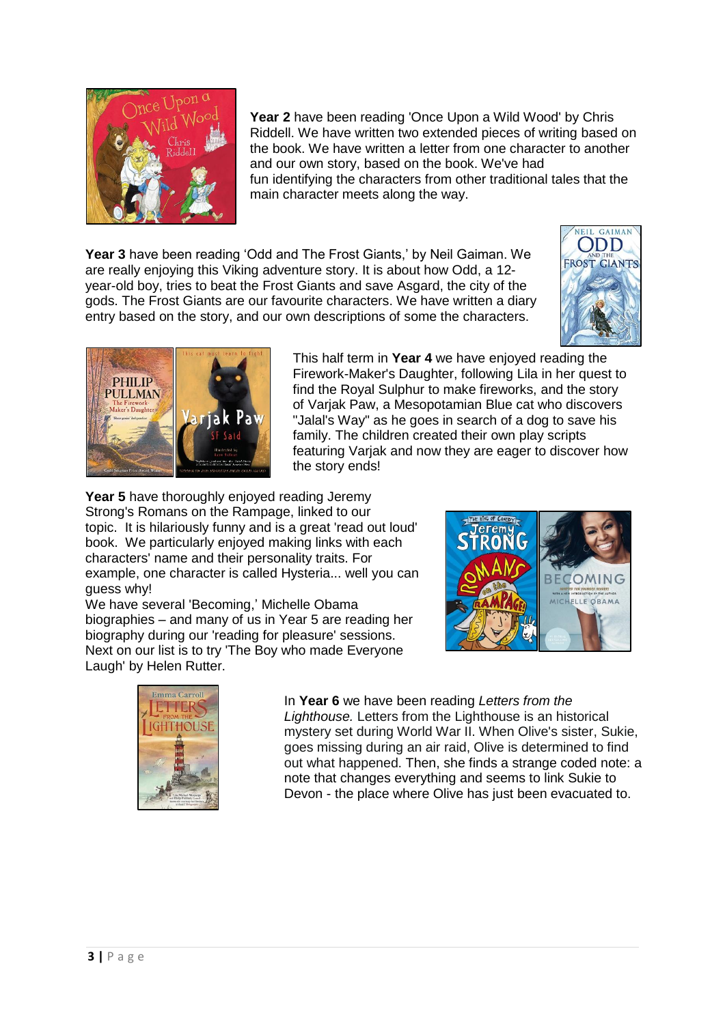

**Year 2** have been reading 'Once Upon a Wild Wood' by Chris Riddell. We have written two extended pieces of writing based on the book. We have written a letter from one character to another and our own story, based on the book. We've had fun identifying the characters from other traditional tales that the main character meets along the way.

**Year 3** have been reading 'Odd and The Frost Giants,' by Neil Gaiman. We are really enjoying this Viking adventure story. It is about how Odd, a 12 year-old boy, tries to beat the Frost Giants and save Asgard, the city of the gods. The Frost Giants are our favourite characters. We have written a diary entry based on the story, and our own descriptions of some the characters.





This half term in **Year 4** we have enjoyed reading the Firework-Maker's Daughter, following Lila in her quest to find the Royal Sulphur to make fireworks, and the story of Varjak Paw, a Mesopotamian Blue cat who discovers "Jalal's Way" as he goes in search of a dog to save his family. The children created their own play scripts featuring Varjak and now they are eager to discover how the story ends!

**Year 5** have thoroughly enjoyed reading Jeremy Strong's Romans on the Rampage, linked to our topic. It is hilariously funny and is a great 'read out loud' book. We particularly enjoyed making links with each characters' name and their personality traits. For example, one character is called Hysteria... well you can guess why!

We have several 'Becoming,' Michelle Obama biographies – and many of us in Year 5 are reading her biography during our 'reading for pleasure' sessions. Next on our list is to try 'The Boy who made Everyone Laugh' by Helen Rutter.





In **Year 6** we have been reading *Letters from the Lighthouse.* Letters from the Lighthouse is an historical mystery set during World War II. When Olive's sister, Sukie, goes missing during an air raid, Olive is determined to find out what happened. Then, she finds a strange coded note: a note that changes everything and seems to link Sukie to Devon - the place where Olive has just been evacuated to.